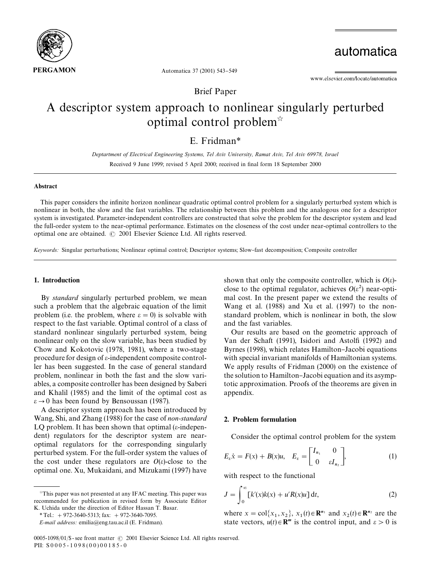

automatica

www.elsevier.com/locate/automatica

Brief Paper

Automatica 37 (2001) 543-549

# A descriptor system approach to nonlinear singularly perturbed optimal control problem<sup> $\dot{\alpha}$ </sup>

E. Fridman*\**

*Deptartment of Electrical Engineering Systems, Tel Aviv University, Ramat Aviv, Tel Aviv 69978, Israel* Received 9 June 1999; revised 5 April 2000; received in final form 18 September 2000

# Abstract

This paper considers the infinite horizon nonlinear quadratic optimal control problem for a singularly perturbed system which is nonlinear in both, the slow and the fast variables. The relationship between this problem and the analogous one for a descriptor system is investigated. Parameter-independent controllers are constructed that solve the problem for the descriptor system and lead the full-order system to the near-optimal performance. Estimates on the closeness of the cost under near-optimal controllers to the optimal one are obtained.  $\odot$  2001 Elsevier Science Ltd. All rights reserved.

*Keywords:* Singular perturbations; Nonlinear optimal control; Descriptor systems; Slow-fast decomposition; Composite controller

# 1. Introduction

By *standard* singularly perturbed problem, we mean such a problem that the algebraic equation of the limit problem (i.e. the problem, where  $\varepsilon = 0$ ) is solvable with respect to the fast variable. Optimal control of a class of standard nonlinear singularly perturbed system, being nonlinear only on the slow variable, has been studied by Chow and Kokotovic (1978, 1981), where a two-stage procedure for design of  $\varepsilon$ -independent composite controller has been suggested. In the case of general standard problem, nonlinear in both the fast and the slow variables, a composite controller has been designed by Saberi and Khalil (1985) and the limit of the optimal cost as  $\varepsilon \rightarrow 0$  has been found by Bensoussan (1987).

A descriptor system approach has been introduced by Wang, Shi, and Zhang (1988) for the case of *non-standard* LQ problem. It has been shown that optimal  $(\varepsilon$ -independent) regulators for the descriptor system are nearoptimal regulators for the corresponding singularly perturbed system. For the full-order system the values of the cost under these regulators are  $O(\varepsilon)$ -close to the optimal one. Xu, Mukaidani, and Mizukami (1997) have

shown that only the composite controller, which is  $O(\varepsilon)$ close to the optimal regulator, achieves  $O(\varepsilon^2)$  near-optimal cost. In the present paper we extend the results of Wang et al. (1988) and Xu et al. (1997) to the nonstandard problem, which is nonlinear in both, the slow and the fast variables.

Our results are based on the geometric approach of Van der Schaft (1991), Isidori and Astolfi (1992) and Byrnes (1998), which relates Hamilton-Jacobi equations with special invariant manifolds of Hamiltonian systems. We apply results of Fridman (2000) on the existence of the solution to Hamilton–Jacobi equation and its asymptotic approximation. Proofs of the theorems are given in appendix.

# 2. Problem formulation

Consider the optimal control problem for the system

$$
E_{\varepsilon}\dot{x} = F(x) + B(x)u, \quad E_{\varepsilon} = \begin{bmatrix} I_{n_1} & 0 \\ 0 & \varepsilon I_{n_2} \end{bmatrix}, \tag{1}
$$

with respect to the functional

$$
J = \int_0^\infty [k'(x)k(x) + u'R(x)u] dt,
$$
 (2)

where  $x = \text{col}\{x_1, x_2\}$ ,  $x_1(t) \in \mathbb{R}^{n_1}$  and  $x_2(t) \in \mathbb{R}^{n_2}$  are the state vectors,  $u(t) \in \mathbb{R}^m$  is the control input, and  $\varepsilon > 0$  is

 $\overline{a}$ This paper was not presented at any IFAC meeting. This paper was recommended for publication in revised form by Associate Editor K. Uchida under the direction of Editor Hassan T. Basar.

*<sup>\*</sup>*Tel.: #972-3640-5313; fax: #972-3640-7095.

*E-mail address:* emilia@eng.tau.ac.il (E. Fridman).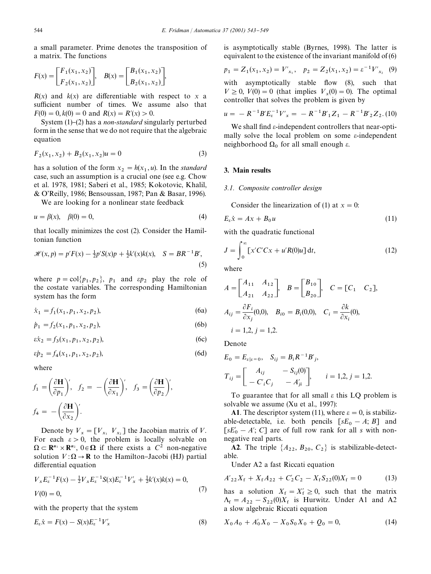a small parameter. Prime denotes the transposition of a matrix. The functions

$$
F(x) = \begin{bmatrix} F_1(x_1, x_2) \\ F_2(x_1, x_2) \end{bmatrix}, \quad B(x) = \begin{bmatrix} B_1(x_1, x_2) \\ B_2(x_1, x_2) \end{bmatrix},
$$

 $R(x)$  and  $k(x)$  are differentiable with respect to x a sufficient number of times. We assume also that  $F(0) = 0, k(0) = 0$  and  $R(x) = R'(x) > 0$ .

System (1)–(2) has a *non-standard* singularly perturbed form in the sense that we do not require that the algebraic equation

$$
F_2(x_1, x_2) + B_2(x_1, x_2)u = 0
$$
\n(3)

has a solution of the form  $x_2 = h(x_1, u)$ . In the *standard* case, such an assumption is a crucial one (see e.g. Chow et al. 1978, 1981; Saberi et al., 1985; Kokotovic, Khalil, & O'Reilly, 1986; Bensoussan, 1987; Pan & Basar, 1996).

We are looking for a nonlinear state feedback

$$
u = \beta(x), \quad \beta(0) = 0,
$$
 (4)

that locally minimizes the cost (2). Consider the Hamiltonian function

$$
\mathcal{H}(x, p) = p'F(x) - \frac{1}{2}p'S(x)p + \frac{1}{2}k'(x)k(x), \quad S = BR^{-1}B',
$$
\n(5)

where  $p = \text{col}\{p_1, p_2\}$ ,  $p_1$  and  $\epsilon p_2$  play the role of the costate variables. The corresponding Hamiltonian system has the form

$$
\dot{x}_1 = f_1(x_1, p_1, x_2, p_2), \tag{6a}
$$

 $\dot{p}_1 = f_2(x_1, p_1, x_2, p_2)$  $),$  (6b)

$$
\varepsilon \dot{x}_2 = f_3(x_1, p_1, x_2, p_2),\tag{6c}
$$

$$
\varepsilon \dot{p}_2 = f_4(x_1, p_1, x_2, p_2),\tag{6d}
$$

where

$$
f_1 = \left(\frac{\partial \mathbf{H}}{\partial p_1}\right)', \quad f_2 = -\left(\frac{\partial \mathbf{H}}{\partial x_1}\right)', \quad f_3 = \left(\frac{\partial \mathbf{H}}{\partial p_2}\right)',
$$

$$
f_4 = -\left(\frac{\partial \mathbf{H}}{\partial x_2}\right)'.
$$

Denote by  $V_x = [V_{x_1} \ V_{x_2}]$  the Jacobian matrix of V. For each  $\epsilon > 0$ , the problem is locally solvable on  $\Omega \subset \mathbb{R}^{n_1} \times \mathbb{R}^{n_2}$ ,  $0 \in \Omega$  if there exists a  $C^2$  non-negative solution  $V : \Omega \to \mathbf{R}$  to the Hamilton-Jacobi (HJ) partial differential equation

$$
V_x E_{\varepsilon}^{-1} F(x) - \frac{1}{2} V_x E_{\varepsilon}^{-1} S(x) E_{\varepsilon}^{-1} V'_x + \frac{1}{2} k'(x) k(x) = 0,
$$
  
(7)

with the property that the system

$$
E_{\varepsilon}\dot{x} = F(x) - S(x)E_{\varepsilon}^{-1}V'_{x}
$$
\n(8)

is asymptotically stable (Byrnes, 1998). The latter is equivalent to the existence of the invariant manifold of (6)

$$
p_1 = Z_1(x_1, x_2) = V'_{x_1}, \quad p_2 = Z_2(x_1, x_2) = \varepsilon^{-1} V'_{x_2}
$$
 (9)

with asymptotically stable flow (8), such that  $V \ge 0$ ,  $V(0) = 0$  (that implies  $V_x(0) = 0$ ). The optimal controller that solves the problem is given by

$$
u = -R^{-1}BE_{\varepsilon}^{-1}V'_{x} = -R^{-1}B'_{1}Z_{1} - R^{-1}B'_{2}Z_{2}. (10)
$$

We shall find  $\varepsilon$ -independent controllers that near-optimally solve the local problem on some  $\varepsilon$ -independent neighborhood  $\Omega_0$  for all small enough  $\varepsilon$ .

## 3. Main results

### *3.1. Composite controller design*

Consider the linearization of (1) at  $x = 0$ :

$$
E_{\varepsilon}\dot{x} = Ax + B_0 u \tag{11}
$$

with the quadratic functional

$$
J = \int_0^\infty \left[ x'C'Cx + u'R(0)u \right] dt,\tag{12}
$$

where

$$
A = \begin{bmatrix} A_{11} & A_{12} \\ A_{21} & A_{22} \end{bmatrix}, B = \begin{bmatrix} B_{10} \\ B_{20} \end{bmatrix}, C = [C_1 \ C_2],
$$
  
\n
$$
A_{ij} = \frac{\partial F_i}{\partial x_j}(0,0), B_{i0} = B_i(0,0), C_i = \frac{\partial k}{\partial x_i}(0),
$$
  
\n $i = 1,2, j = 1,2.$ 

Denote

$$
E_0 = E_{\varepsilon | \varepsilon = 0}, \quad S_{ij} = B_i R^{-1} B'_j,
$$
  
\n
$$
T_{ij} = \begin{bmatrix} A_{ij} & -S_{ij}(0) \\ -C'_i C_j & -A'_{ji} \end{bmatrix}, \quad i = 1, 2, j = 1, 2.
$$

To guarantee that for all small  $\varepsilon$  this LQ problem is solvable we assume (Xu et al., 1997):

A1. The descriptor system (11), where  $\varepsilon = 0$ , is stabilizable-detectable, i.e. both pencils  $[sE_0 - A; B]$  and  $[sE'_0 - A'; C]$  are of full row rank for all *s* with nonnegative real parts.

**A2**. The triple  $\{A_{22}, B_{20}, C_2\}$  is stabilizable-detectable.

Under A2 a fast Riccati equation

$$
A'_{22}X_f + X_f A_{22} + C'_2 C_2 - X_f S_{22}(0)X_f = 0 \tag{13}
$$

has a solution  $X_f = X'_f \ge 0$ , such that the matrix  $\Lambda_f = A_{22} - S_{22}(0)X_f$  is Hurwitz. Under A1 and A2 a slow algebraic Riccati equation

$$
X_0 A_0 + A'_0 X_0 - X_0 S_0 X_0 + Q_0 = 0,
$$
\n(14)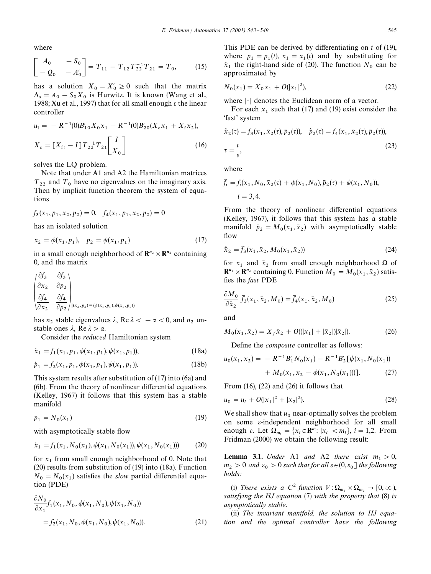where

$$
\begin{bmatrix} A_0 & -S_0 \ -Q_0 & -A'_0 \end{bmatrix} = T_{11} - T_{12} T_{22}^{-1} T_{21} = T_0, \qquad (15)
$$

has a solution  $X_0 = X'_0 \ge 0$  such that the matrix  $\Lambda_s = A_0 - S_0 X_0$  is Hurwitz. It is known (Wang et al., 1988; Xu et al., 1997) that for all small enough  $\varepsilon$  the linear controller

$$
u_1 = -R^{-1}(0)B'_{10}X_0x_1 - R^{-1}(0)B'_{20}(X_cx_1 + X_fx_2),
$$
  
\n
$$
X_c = [X_f, -I]T_{22}^{-1}T_{21} \begin{bmatrix} I \\ X_0 \end{bmatrix}
$$
 (16)

solves the LQ problem.

Note that under A1 and A2 the Hamiltonian matrices  $T_{22}$  and  $T_0$  have no eigenvalues on the imaginary axis. Then by implicit function theorem the system of equations

$$
f_3(x_1, p_1, x_2, p_2) = 0, \quad f_4(x_1, p_1, x_2, p_2) = 0
$$

has an isolated solution

$$
x_2 = \phi(x_1, p_1), \quad p_2 = \psi(x_1, p_1) \tag{17}
$$

in a small enough neighborhood of  $\mathbb{R}^{n_2} \times \mathbb{R}^{n_2}$  containing 0, and the matrix

$$
\begin{pmatrix}\n\frac{\partial f_3}{\partial x_2} & \frac{\partial f_3}{\partial p_2} \\
\frac{\partial f_4}{\partial x_2} & \frac{\partial f_4}{\partial p_2}\n\end{pmatrix}_{|(x_2, p_2) = (\phi(x_1, p_1), \psi(x_1, p_1))}
$$

has  $n_2$  stable eigenvalues  $\lambda$ , Re  $\lambda < -\alpha < 0$ , and  $n_2$  unstable ones  $\lambda$ , Re  $\lambda > \alpha$ .

Consider the *reduced* Hamiltonian system

$$
\dot{x}_1 = f_1(x_1, p_1, \phi(x_1, p_1), \psi(x_1, p_1)), \tag{18a}
$$

$$
\dot{p}_1 = f_2(x_1, p_1, \phi(x_1, p_1), \psi(x_1, p_1)).
$$
\n(18b)

This system results after substitution of (17) into (6a) and  $(6b)$ . From the theory of nonlinear differential equations (Kelley, 1967) it follows that this system has a stable manifold

$$
p_1 = N_0(x_1) \tag{19}
$$

with asymptotically stable flow

$$
\dot{x}_1 = f_1(x_1, N_0(x_1), \phi(x_1, N_0(x_1)), \psi(x_1, N_0(x_1)))
$$
 (20)

for  $x_1$  from small enough neighborhood of 0. Note that (20) results from substitution of (19) into (18a). Function  $N_0 = N_0(x_1)$  satisfies the *slow* partial differential equation (PDE)

$$
\frac{\partial N_0}{\partial x_1} f_1(x_1, N_0, \phi(x_1, N_0), \psi(x_1, N_0))
$$
  
=  $f_2(x_1, N_0, \phi(x_1, N_0), \psi(x_1, N_0)).$  (21)

This PDE can be derived by differentiating on *t* of (19), where  $p_1 = p_1(t)$ ,  $x_1 = x_1(t)$  and by substituting for  $\dot{x}_1$  the right-hand side of (20). The function  $N_0$  can be approximated by

$$
N_0(x_1) = X_0 x_1 + O(|x_1|^2),\tag{22}
$$

where  $|\cdot|$  denotes the Euclidean norm of a vector.

For each  $x_1$  such that (17) and (19) exist consider the 'fast' system

$$
\dot{\bar{x}}_2(\tau) = \bar{f}_3(x_1, \bar{x}_2(\tau), \bar{p}_2(\tau)), \quad \dot{\bar{p}}_2(\tau) = \bar{f}_4(x_1, \bar{x}_2(\tau), \bar{p}_2(\tau)),
$$
\n
$$
\tau = \frac{t}{\varepsilon},
$$
\n(23)

where

$$
\overline{f}_i = f_i(x_1, N_0, \overline{x}_2(\tau) + \phi(x_1, N_0), \overline{p}_2(\tau) + \psi(x_1, N_0)),
$$
  

$$
i = 3, 4.
$$

From the theory of nonlinear differential equations (Kelley, 1967), it follows that this system has a stable manifold  $\bar{p}_2 = M_0(x_1, \bar{x}_2)$  with asymptotically stable flow

$$
\dot{\bar{x}}_2 = \bar{f}_3(x_1, \bar{x}_2, M_0(x_1, \bar{x}_2))
$$
\n(24)

for  $x_1$  and  $\bar{x}_2$  from small enough neighborhood  $\Omega$  of  $\mathbf{R}^{n_1} \times \mathbf{R}^{n_2}$  containing 0. Function  $M_0 = M_0(x_1, \bar{x}_2)$  satisfies the *fast* PDE

$$
\frac{\partial M_0}{\partial \bar{x}_2} \bar{f}_3(x_1, \bar{x}_2, M_0) = \bar{f}_4(x_1, \bar{x}_2, M_0)
$$
\n(25)

and

$$
M_0(x_1, \bar{x}_2) = X_f \bar{x}_2 + O(|x_1| + |\bar{x}_2|) |\bar{x}_2|). \tag{26}
$$

Define the *composite* controller as follows:

$$
u_0(x_1, x_2) = -R^{-1}B'_1N_0(x_1) - R^{-1}B'_2[\psi(x_1, N_0(x_1))
$$
  
+  $M_0(x_1, x_2 - \phi(x_1, N_0(x_1)))]$ . (27)

From (16), (22) and (26) it follows that

$$
u_0 = u_1 + O(|x_1|^2 + |x_2|^2). \tag{28}
$$

We shall show that  $u_0$  near-optimally solves the problem on some e-independent neighborhood for all small enough  $\varepsilon$ . Let  $\Omega_{m_i} = \{x_i \in \mathbb{R}^{n_i}: |x_i| < m_i\}, i = 1,2$ . From Fridman (2000) we obtain the following result:

**Lemma 3.1.** *Under* A1 *and* A2 *there exist*  $m_1 > 0$ ,  $m_2 > 0$  *and*  $\varepsilon_0 > 0$  *such that for all*  $\varepsilon \in (0, \varepsilon_0]$  *the following holds:*

(i) *There exists a*  $C^2$  *function*  $V: \Omega_{m_1} \times \Omega_{m_2} \to [0, \infty)$ , *satisfying the HJ equation* (7) *with the property that* (8) *is asymptotically stable*.

(ii) *The invariant manifold, the solution to HJ equation and the optimal controller have the following*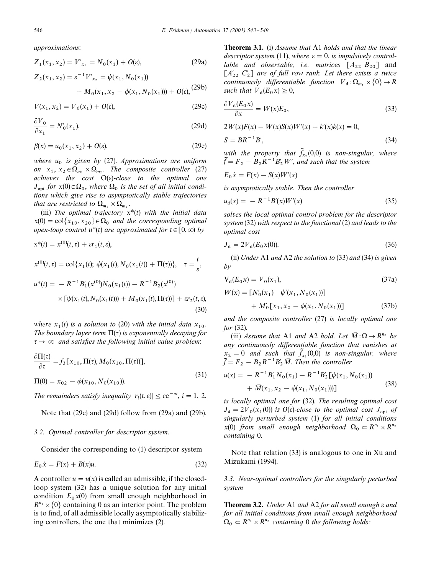*approximations*:

$$
Z_1(x_1, x_2) = V'_{x_1} = N_0(x_1) + O(\varepsilon),
$$
 (29a)

$$
Z_2(x_1, x_2) = \varepsilon^{-1} V'_{x_2} = \psi(x_1, N_0(x_1))
$$
  
+  $M_0(x_1, x_2 - \phi(x_1, N_0(x_1))) + O(\varepsilon),$  (29b)

$$
V(x_1, x_2) = V_0(x_1) + O(\varepsilon),
$$
\n(29c)

$$
\frac{\partial V_0}{\partial x_1} = N'_0(x_1),\tag{29d}
$$

$$
\beta(x) = u_0(x_1, x_2) + O(\varepsilon),\tag{29e}
$$

*where u* <sup>0</sup> *is given by* (27). *Approximations are uniform on*  $x_1, x_2 \in \Omega_{m_1} \times \Omega_{m_2}$ . *The composite controller* (27) *achieves the cost* O(e)-*close to the optimal one*  $J_{\text{opt}}$  for  $x(0) \in \Omega_0$ , where  $\Omega_0$  is the set of all initial condi*tions which give rise to asymptotically stable trajectories that are restricted to*  $\Omega_{m_1} \times \Omega_{m_2}$ .

(iii) *The optimal trajectory*  $x^*(t)$  *with the initial data*  $x(0) = \text{col}\{x_{10}, x_{20}\} \in \Omega_0$  *and the corresponding optimal open-loop control*  $u^*(t)$  *are approximated for*  $t \in [0,\infty)$  *by* 

$$
x^{*}(t) = x^{(0)}(t, \tau) + \varepsilon r_1(t, \varepsilon),
$$
  
\n
$$
x^{(0)}(t, \tau) = \text{col}\{x_1(t); \ \phi(x_1(t), N_0(x_1(t)) + \Pi(\tau))\}, \quad \tau = \frac{t}{\varepsilon},
$$
  
\n
$$
u^{*}(t) = -R^{-1}B'_{1}(x^{(0)})N_0(x_1(t)) - R^{-1}B'_{2}(x^{(0)})
$$
  
\n
$$
\times \left[\psi(x_1(t), N_0(x_1(t))) + M_0(x_1(t), \Pi(\tau))\right] + \varepsilon r_2(t, \varepsilon),
$$
  
\n(30)

*where*  $x_1(t)$  *is a solution to* (20) *with the initial data*  $x_{10}$ . *The boundary layer term*  $\Pi(\tau)$  *is exponentially decaying for*  $\tau \rightarrow \infty$  *and satisfies the following initial value problem:* 

$$
\frac{\partial \Pi(\tau)}{\partial \tau} = \bar{f}_3 [x_{10}, \Pi(\tau), M_0(x_{10}, \Pi(\tau))],
$$
  
 
$$
\Pi(0) = x_{02} - \phi(x_{10}, N_0(x_{10})).
$$
 (31)

*The remainders satisfy inequality*  $|r_i(t, \varepsilon)| \leq c e^{-\alpha t}, i = 1, 2$ .

Note that (29c) and (29d) follow from (29a) and (29b).

#### *3.2. Optimal controller for descriptor system.*

Consider the corresponding to (1) descriptor system

$$
E_0 \dot{x} = F(x) + B(x)u. \tag{32}
$$

A controller  $u = u(x)$  is called an admissible, if the closedloop system (32) has a unique solution for any initial condition  $E_0x(0)$  from small enough neighborhood in  $R^{n_1} \times \{0\}$  containing 0 as an interior point. The problem is to find, of all admissible locally asymptotically stabilizing controllers, the one that minimizes (2).

Theorem 3.1. (i) *Assume that* A1 *holds and that the linear descriptor system* (11), where  $\varepsilon = 0$ , *is impulsively controllable and observable, i.e. matrices*  $[A_{22} \ B_{20}]$  and  $[A'_{22} \ C_{2}]$  are of full row rank. Let there exists a twice *continuously differentiable function*  $V_d : \Omega_{m_1} \times \{0\} \to R$ such that  $V_d(E_0 x) \geq 0$ ,

$$
\frac{\partial V_{\mathbf{d}}(E_0 x)}{\partial x} = W(x) E_0,
$$
\n(33)

 $2W(x)F(x) - W(x)S(x)W'(x) + k'(x)k(x) = 0,$ 

$$
S = BR^{-1}B',\tag{34}
$$

with the property that  $f_{x_2}(0,0)$  *is non-singular, where*  $\tilde{f} = F_2 - B_2 R^{-1} B_2' W'$ , and such that the system

$$
E_0 \dot{x} = F(x) - S(x)W'(x)
$$

*is asymptotically stable. Then the controller*

$$
u_d(x) = -R^{-1}B'(x)W'(x) \tag{35}
$$

*solves the local optimal control problem for the descriptor system* (32) *with respect to the functional* (2) *and leads to the optimal cost*

$$
J_{\rm d} = 2V_{\rm d}(E_0 x(0)).\tag{36}
$$

(ii) *Under* A1 *and* A2 *the solution to* (33) *and* (34) *is given by*

$$
V_d(E_0 x) = V_0(x_1),
$$
\n(37a)

$$
W(x) = [N'_0(x_1) \quad \psi'(x_1, N_0(x_1))]
$$
  
+  $M'_0[x_1, x_2 - \phi(x_1, N_0(x_1))]$  (37b)

*and the composite controller* (27) *is locally optimal one for* (32).

(iii) *Assume that* A1 *and* A2 *hold. Let*  $\overline{M}: \Omega \to \mathbb{R}^{n_2}$  *be any continuously differentiable function that vanishes at*  $x_2 = 0$  *and such that*  $f_{x_2}(0,0)$  *is non-singular, where*  $\widetilde{f} = F_2 - B_2 R^{-1} B_2' \overline{M}$ . *Then the controller* 

$$
\bar{u}(x) = -R^{-1}B'_1N_0(x_1) - R^{-1}B'_2[\psi(x_1, N_0(x_1)) + \bar{M}(x_1, x_2 - \phi(x_1, N_0(x_1)))]
$$
\n(38)

*is locally optimal one for* (32). *The resulting optimal cost*  $J_d = 2V_0(x_1(0))$  *is O(e)-close to the optimal cost*  $J_{opt}$  *of singularly perturbed system* (1) *for all initial conditions*  $x(0)$  *from small enough neighborhood*  $\Omega_0 \subset R^{n_1} \times R^{n_2}$ *containing* 0.

Note that relation (33) is analogous to one in Xu and Mizukami (1994).

*3.3. Near-optimal controllers for the singularly perturbed system*

Theorem 3.2. *Under* A1 *and* A2 *for all small enough* e *and for all initial conditions from small enough neighborhood*  $\Omega_0 \subset R^{n_1} \times R^{n_2}$  *containing* 0 *the following holds:*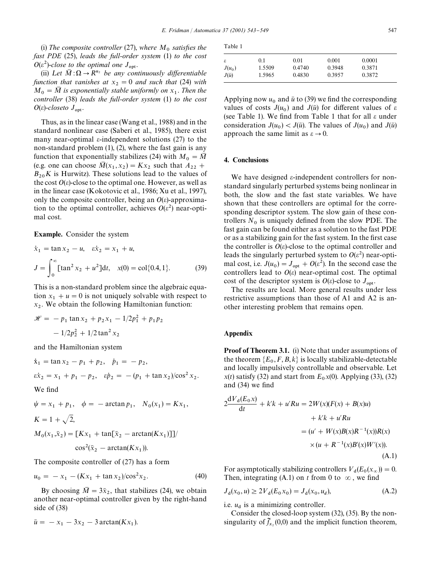(i) The composite controller (27), where  $M_0$  satisfies the *fast PDE* (25), *leads the full-order system* (1) *to the cost*  $O(\varepsilon^2)$ -close to the optimal one  $J_{\text{opt}}$ .

(ii) Let  $\overline{M}: \Omega \to \mathbb{R}^{n_2}$  *be any continuously differentiable function that vanishes at*  $x_2 = 0$  *and such that* (24) *with*  $M_0 = \overline{M}$  is exponentially stable uniformly on  $x_1$ . Then the *controller* (38) *leads the full-order system* (1) *to the cost*  $O(\varepsilon)$ -*closeto*  $J_{\text{opt}}$ .

Thus, as in the linear case (Wang et al., 1988) and in the standard nonlinear case (Saberi et al., 1985), there exist many near-optimal  $\varepsilon$ -independent solutions (27) to the non-standard problem (1), (2), where the fast gain is any function that exponentially stabilizes (24) with  $M_0 = \overline{M}$ (e.g. one can choose  $\overline{M}(x_1, x_2) = Kx_2$  such that  $A_{22}$  +  $B_{20}$ *K* is Hurwitz). These solutions lead to the values of the cost  $O(\varepsilon)$ -close to the optimal one. However, as well as in the linear case (Kokotovic et al., 1986; Xu et al., 1997), only the composite controller, being an  $O(\varepsilon)$ -approximation to the optimal controller, achieves  $O(\varepsilon^2)$  near-optimal cost.

Example. Consider the system

$$
\dot{x}_1 = \tan x_2 - u, \quad \varepsilon \dot{x}_2 = x_1 + u,
$$
\n
$$
J = \int_0^\infty [\tan^2 x_2 + u^2] dt, \quad x(0) = \text{col}\{0.4, 1\}.
$$
\n(39)

This is a non-standard problem since the algebraic equation  $x_1 + u = 0$  is not uniquely solvable with respect to *x* 2 . We obtain the following Hamiltonian function:

$$
\mathcal{H} = -p_1 \tan x_2 + p_2 x_1 - 1/2p_1^2 + p_1 p_2
$$

$$
-1/2p_2^2 + 1/2 \tan^2 x_2
$$

and the Hamiltonian system

 $\dot{x}_1 = \tan x_2 - p_1 + p_2, \quad \dot{p}_1 = -p_2,$  $\epsilon \dot{x}_2 = x_1 + p_1 - p_2, \quad \epsilon \dot{p}_2 = -(p_1 + \tan x_2)/\cos^2 x_2.$ We find  $\psi = x_1 + p_1, \quad \phi = -\arctan p_1, \quad N_0(x_1) = Kx_1,$  $K = 1 + \sqrt{2}$ ,

$$
M_0(x_1, \bar{x}_2) = \left[Kx_1 + \tan[\bar{x}_2 - \arctan(Kx_1)]\right] / \cos^2(\bar{x}_2 - \arctan(Kx_1)).
$$

The composite controller of (27) has a form

$$
u_0 = -x_1 - (Kx_1 + \tan x_2)/\cos^2 x_2. \tag{40}
$$

By choosing  $\overline{M} = 3\overline{x}_2$ , that stabilizes (24), we obtain another near-optimal controller given by the right-hand side of (38)

$$
\bar{u} = -x_1 - 3x_2 - 3 \arctan(Kx_1).
$$

| ante |  |
|------|--|
|------|--|

| ε            | 0.1    | 0.01   | 0.001  | 0.0001 |  |
|--------------|--------|--------|--------|--------|--|
| $J(u_0)$     | 1.5509 | 0.4740 | 0.3948 | 0.3871 |  |
| $J(\bar{u})$ | 1.5965 | 0.4830 | 0.3957 | 0.3872 |  |

Applying now  $u_0$  and  $\bar{u}$  to (39) we find the corresponding values of costs  $J(u_0)$  and  $J(\bar{u})$  for different values of  $\varepsilon$ (see Table 1). We find from Table 1 that for all  $\varepsilon$  under consideration  $J(u_0) < J(\bar{u})$ . The values of  $J(u_0)$  and  $J(\bar{u})$ approach the same limit as  $\varepsilon \to 0$ .

## 4. Conclusions

We have designed  $\varepsilon$ -independent controllers for nonstandard singularly perturbed systems being nonlinear in both, the slow and the fast state variables. We have shown that these controllers are optimal for the corresponding descriptor system. The slow gain of these controllers  $N_0$  is uniquely defined from the slow PDE. The fast gain can be found either as a solution to the fast PDE or as a stabilizing gain for the fast system. In the first case the controller is  $O(\varepsilon)$ -close to the optimal controller and leads the singularly perturbed system to  $O(\varepsilon^2)$  near-optimal cost, i.e.  $J(u_0) = J_{\text{opt}} + O(\varepsilon^2)$ . In the second case the controllers lead to  $O(\varepsilon)$  near-optimal cost. The optimal cost of the descriptor system is  $O(\varepsilon)$ -close to  $J_{\text{opt}}$ .

The results are local. More general results under less restrictive assumptions than those of A1 and A2 is another interesting problem that remains open.

#### Appendix

Proof of Theorem 3.1. (i) Note that under assumptions of the theorem  $\{E_0, F, B, k\}$  is locally stabilizable-detectable and locally impulsively controllable and observable. Let  $x(t)$  satisfy (32) and start from  $E_0 x(0)$ . Applying (33), (32) and  $(34)$  we find

$$
2\frac{dV_d(E_0x)}{dt} + k'k + u'Ru = 2W(x)(F(x) + B(x)u)
$$
  
+ k'k + u'Ru  
=  $(u' + W(x)B(x)R^{-1}(x))R(x)$   
 $\times (u + R^{-1}(x)B'(x)W'(x)).$  (A.1)

For asymptotically stabilizing controllers  $V_d(E_0(x_\infty)) = 0$ . Then, integrating (A.1) on *t* from 0 to  $\infty$ , we find

$$
J_{d}(x_0, u) \ge 2V_{d}(E_0 x_0) = J_{d}(x_0, u_d),
$$
\n(A.2)

i.e.  $u_d$  is a minimizing controller.

Consider the closed-loop system (32), (35). By the nonsingularity of  $\tilde{f}_{x_2}(0,0)$  and the implicit function theorem,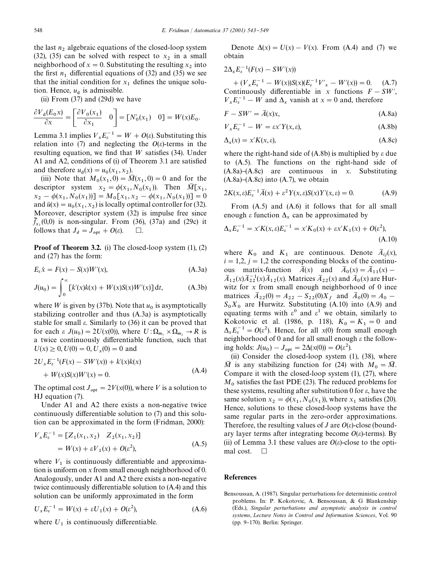the last  $n_2$  algebraic equations of the closed-loop system<br>(28) (25) (32), (35) can be solved with respect to  $x_2$  in a small neighborhood of  $x = 0$ . Substituting the resulting  $x_2$  into the first  $n_1$  differential equations of (32) and (35) we see that the initial condition for  $x_1$  defines the unique solution. Hence,  $u_d$  is admissible.

(ii) From (37) and (29d) we have

$$
\frac{\partial V_{\mathbf{d}}(E_{0}x)}{\partial x} = \begin{bmatrix} \frac{\partial V_{0}(x_{1})}{\partial x_{1}} & 0 \end{bmatrix} = [N'_{0}(x_{1}) \quad 0] = W(x)E_{0}.
$$

Lemma 3.1 implies  $V_x E_c^{-1} = W + O(\varepsilon)$ . Substituting this relation into (7) and neglecting the  $O(\varepsilon)$ -terms in the resulting equation, we find that  $W$  satisfies (34). Under A1 and A2, conditions of  $(i)$  of Theorem 3.1 are satisfied and therefore  $u_d(x) = u_0(x_1, x_2)$ .

(iii) Note that  $M_0(x_1, 0) = \overline{M}(x_1, 0) = 0$  and for the descriptor system  $x_2 = \phi(x_1, N_0(x_1))$ . Then  $\overline{M}[x_1, \overline{N_1(x_1)}]$  $x_2 - \phi(x_1, N_0(x_1))] = M_0[x_1, x_2 - \phi(x_1, N_0(x_1))] = 0$ and  $\bar{u}(x) = u_0(x_1, x_2)$  is locally optimal controller for (32). Moreover, descriptor system (32) is impulse free since  $f_{x_2}(0,0)$  is non-singular. From (36), (37a) and (29c) it follows that  $J_d = \overline{J}_{opt} + O(\varepsilon)$ .  $\Box$ .

Proof of Theorem 3.2. (i) The closed-loop system (1), (2) and (27) has the form:

$$
E_{\varepsilon}\dot{x} = F(x) - S(x)W'(x), \tag{A.3a}
$$

$$
J(u_0) = \int_0^\infty [k'(x)k(x) + W(x)S(x)W'(x)] dt,
$$
 (A.3b)

where  $W$  is given by (37b). Note that  $u_0$  is asymptotically stabilizing controller and thus (A.3a) is asymptotically stable for small  $\varepsilon$ . Similarly to (36) it can be proved that for each  $\varepsilon J(u_0) = 2U(x(0))$ , where  $U: \Omega_{m_1} \times \Omega_{m_2} \to R$  is a twice continuously differentiable function, such that  $U(x) \ge 0, U(0) = 0, U_x(0) = 0$  and

$$
2U_x E_{\varepsilon}^{-1}(F(x) - SW'(x)) + k'(x)k(x)
$$
  
+ W(x)S(x)W'(x) = 0. (A.4)

The optimal cost  $J_{opt} = 2V(x(0))$ , where V is a solution to HJ equation (7).

Under A1 and A2 there exists a non-negative twice continuously differentiable solution to  $(7)$  and this solution can be approximated in the form (Fridman, 2000):

$$
V_x E_{\varepsilon}^{-1} = [Z_1(x_1, x_2) \quad Z_2(x_1, x_2)]
$$
  
=  $W(x) + \varepsilon V_1(x) + O(\varepsilon^2)$ , (A.5)

where  $V_1$  is continuously differentiable and approximation is uniform on *x* from small enough neighborhood of 0. Analogously, under A1 and A2 there exists a non-negative twice continuously differentiable solution to  $(A.4)$  and this solution can be uniformly approximated in the form

$$
U_x E_\varepsilon^{-1} = W(x) + \varepsilon U_1(x) + O(\varepsilon^2), \tag{A.6}
$$

where  $U_1$  is continuously differentiable.

Denote  $\Delta(x) = U(x) - V(x)$ . From (A.4) and (7) we obtain

$$
2\Delta_{x}E_{\varepsilon}^{-1}(F(x)-SW'(x))
$$

 $+(V_x E_c^{-1} - W(x))S(x)(E_c^{-1}V'_x - W'(x)) = 0.$  (A.7) Continuously differentiable in *x* functions  $F - SW'$ ,  $V_x E_\varepsilon^{-1} - W$  and  $\Delta_x$  vanish at  $x = 0$  and, therefore

$$
F - SW' = \overline{A}(x)x,
$$
\n(A.8a)

$$
V_x E_\varepsilon^{-1} - W = \varepsilon x' Y(x, \varepsilon), \tag{A.8b}
$$

$$
\Delta_x(x) = x'K(x, \varepsilon),\tag{A.8c}
$$

where the right-hand side of  $(A.8b)$  is multiplied by  $\varepsilon$  due to (A.5). The functions on the right-hand side of (A.8a)}(A.8c) are continuous in *x*. Substituting  $(A.8a)$ – $(A.8c)$  into  $(A.7)$ , we obtain

$$
2K(x,\varepsilon)E_{\varepsilon}^{-1}\overline{A}(x) + \varepsilon^2 Y(x,\varepsilon)S(x)Y'(x,\varepsilon) = 0.
$$
 (A.9)

From (A.5) and (A.6) it follows that for all small enough  $\varepsilon$  function  $\Delta_x$  can be approximated by

$$
\Delta_{x} E_{\varepsilon}^{-1} = x' K(x, \varepsilon) E_{\varepsilon}^{-1} = x' K_{0}(x) + \varepsilon x' K_{1}(x) + O(\varepsilon^{2}),
$$
\n(A.10)

where  $K_0$  and  $K_1$  are continuous. Denote  $\overline{A}_{ij}(x)$ ,  $i = 1,2$ ,  $j = 1,2$  the corresponding blocks of the continuous matrix-function  $\overline{A}(x)$  and  $\overline{A}_0(x) = \overline{A}_{11}(x) - \overline{A}_{12}(x) = \overline{A}_{11}(x) - \overline{A}_{12}(x) = \overline{A}_{11}(x) - \overline{A}_{12}(x) = \overline{A}_{11}(x) - \overline{A}_{12}(x) = \overline{A}_{11}(x) - \overline{A}_{12}(x) = \overline{A}_{11}(x) - \overline{A}_{12}(x) = \overline{A}_{11}(x) - \overline{A}_{12}(x) = \overline{A}_{1$  $\overline{A}_{12}(x) \overline{A}_{22}^{-1}(x) \overline{A}_{12}(x)$ . Matrices  $\overline{A}_{22}(x)$  and  $\overline{A}_0(x)$  are Hurwitz for *x* from small enough neighborhood of 0 ince matrices  $\bar{A}_{22}(0) = A_{22} - S_{22}(0)X_f$  and  $\bar{A}_0(0) = A_0 S_0 X_0$  are Hurwitz. Substituting (A.10) into (A.9) and equating terms with  $\varepsilon^0$  and  $\varepsilon^1$  we obtain, similarly to Kokotovic et al. (1986, p. 118),  $K_0 = K_1 = 0$  and  $\Delta_{x}E_{\epsilon}^{-1} = O(\epsilon^{2})$ . Hence, for all *x*(0) from small enough<br>mainly order to and for all graph agreeds at the following neighborhood of 0 and for all small enough  $\varepsilon$  the following holds:  $J(u_0) - J_{opt} = 2\Delta(x(0)) = O(\varepsilon^2).$ 

(ii) Consider the closed-loop system (1), (38), where  $\overline{M}$  is any stabilizing function for (24) with  $M_0 = \overline{M}$ . Compare it with the closed-loop system (1), (27), where  $M<sub>0</sub>$  satisfies the fast PDE (23). The reduced problems for these systems, resulting after substitution 0 for  $\varepsilon$ , have the same solution  $x_2 = \phi(x_1, N_0(x_1))$ , where  $x_1$  satisfies (20). Hence, solutions to these closed-loop systems have the same regular parts in the zero-order approximations. Therefore, the resulting values of *J* are  $O(\varepsilon)$ -close (boundary layer terms after integrating become  $O(\varepsilon)$ -terms). By (ii) of Lemma 3.1 these values are  $O(\varepsilon)$ -close to the optimal cost.  $\Box$ 

#### References

Bensoussan, A. (1987). Singular perturbations for deterministic control problems. In: P. Kokotovic, A. Bensoussan, & G Blankenship (Eds.), *Singular perturbations and asymptotic analysis in control systems*, *Lecture Notes in Control and Information Sciences*, Vol. 90  $(pp. 9-170)$ . Berlin: Springer.